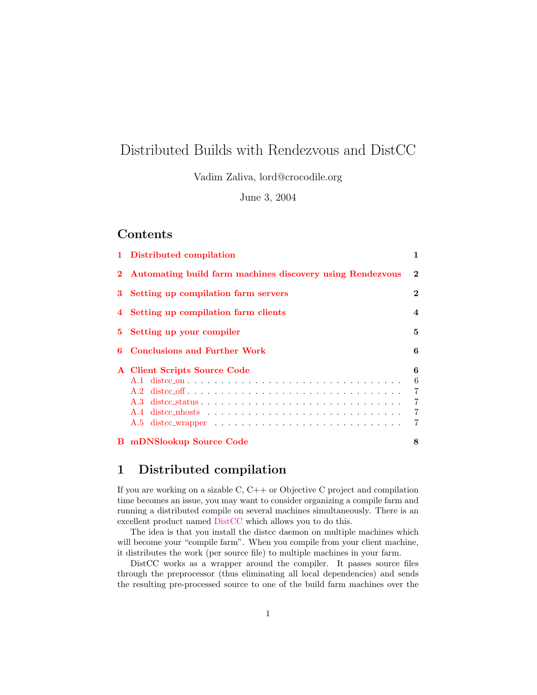# Distributed Builds with Rendezvous and DistCC

Vadim Zaliva, lord@crocodile.org

June 3, 2004

### **Contents**

| 1 Distributed compilation                                   | 1                          |  |
|-------------------------------------------------------------|----------------------------|--|
| 2 Automating build farm machines discovery using Rendezvous |                            |  |
| 3 Setting up compilation farm servers                       | $\bf{2}$                   |  |
| 4 Setting up compilation farm clients                       | $\overline{\mathbf{4}}$    |  |
| 5 Setting up your compiler                                  |                            |  |
| 6 Conclusions and Further Work                              |                            |  |
| A Client Scripts Source Code                                | 6<br>6<br>7<br>7<br>7<br>7 |  |
| <b>B</b> mDNSlookup Source Code                             | 8                          |  |

## <span id="page-0-0"></span>1 Distributed compilation

If you are working on a sizable  $C, C++$  or Objective C project and compilation time becomes an issue, you may want to consider organizing a compile farm and running a distributed compile on several machines simultaneously. There is an excellent product named [DistCC](http://distcc.samba.org) which allows you to do this.

The idea is that you install the distcc daemon on multiple machines which will become your "compile farm". When you compile from your client machine, it distributes the work (per source file) to multiple machines in your farm.

DistCC works as a wrapper around the compiler. It passes source files through the preprocessor (thus eliminating all local dependencies) and sends the resulting pre-processed source to one of the build farm machines over the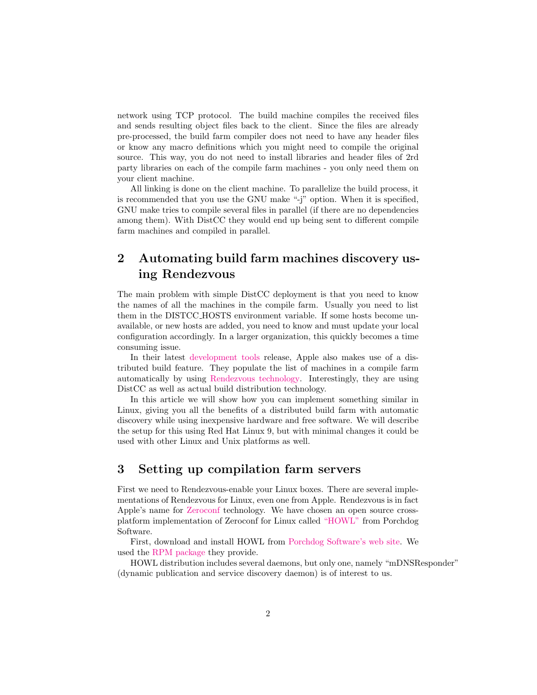network using TCP protocol. The build machine compiles the received files and sends resulting object files back to the client. Since the files are already pre-processed, the build farm compiler does not need to have any header files or know any macro definitions which you might need to compile the original source. This way, you do not need to install libraries and header files of 2rd party libraries on each of the compile farm machines - you only need them on your client machine.

All linking is done on the client machine. To parallelize the build process, it is recommended that you use the GNU make "-j" option. When it is specified, GNU make tries to compile several files in parallel (if there are no dependencies among them). With DistCC they would end up being sent to different compile farm machines and compiled in parallel.

## <span id="page-1-0"></span>2 Automating build farm machines discovery using Rendezvous

The main problem with simple DistCC deployment is that you need to know the names of all the machines in the compile farm. Usually you need to list them in the DISTCC HOSTS environment variable. If some hosts become unavailable, or new hosts are added, you need to know and must update your local configuration accordingly. In a larger organization, this quickly becomes a time consuming issue.

In their latest [development tools](http://www.apple.com/macosx/features/xcode/) release, Apple also makes use of a distributed build feature. They populate the list of machines in a compile farm automatically by using [Rendezvous technology.](http://www.apple.com/macosx/features/rendezvous/) Interestingly, they are using DistCC as well as actual build distribution technology.

In this article we will show how you can implement something similar in Linux, giving you all the benefits of a distributed build farm with automatic discovery while using inexpensive hardware and free software. We will describe the setup for this using Red Hat Linux 9, but with minimal changes it could be used with other Linux and Unix platforms as well.

### <span id="page-1-1"></span>3 Setting up compilation farm servers

First we need to Rendezvous-enable your Linux boxes. There are several implementations of Rendezvous for Linux, even one from Apple. Rendezvous is in fact Apple's name for [Zeroconf](http://www.zeroconf.org/) technology. We have chosen an open source crossplatform implementation of Zeroconf for Linux called ["HOWL"](http://www.porchdogsoft.com/products/howl) from Porchdog Software.

First, download and install HOWL from [Porchdog Software's web site.](http://www.porchdogsoft.com/products/howl/download.html) We used the [RPM package](http://www.porchdogsoft.com/download/howl-0.9.5-1.i386.rpm) they provide.

HOWL distribution includes several daemons, but only one, namely "mDNSResponder" (dynamic publication and service discovery daemon) is of interest to us.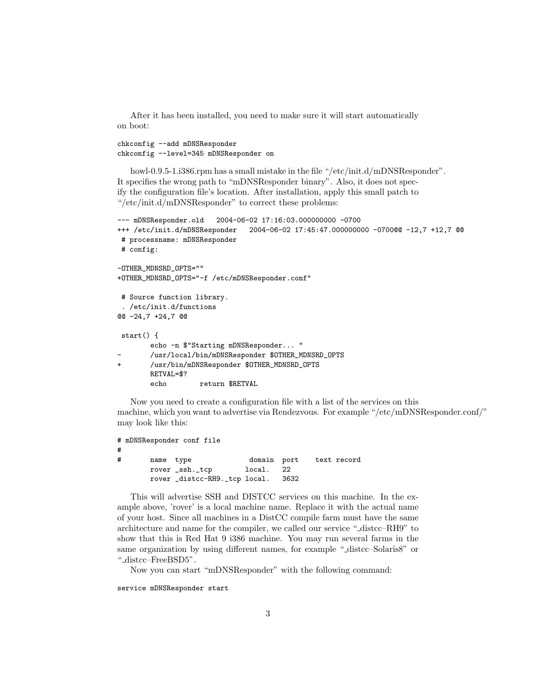After it has been installed, you need to make sure it will start automatically on boot:

chkconfig --add mDNSResponder chkconfig --level=345 mDNSResponder on

howl-0.9.5-1.i386.rpm has a small mistake in the file "/etc/init.d/mDNSResponder". It specifies the wrong path to "mDNSResponder binary". Also, it does not specify the configuration file's location. After installation, apply this small patch to "/etc/init.d/mDNSResponder" to correct these problems:

```
--- mDNSResponder.old 2004-06-02 17:16:03.000000000 -0700
+++ /etc/init.d/mDNSResponder 2004-06-02 17:45:47.000000000 -0700@@ -12,7 +12,7 @@
# processname: mDNSResponder
# config:
-OTHER_MDNSRD_OPTS=""
+OTHER_MDNSRD_OPTS="-f /etc/mDNSResponder.conf"
# Source function library.
 . /etc/init.d/functions
@@ -24,7 +24,7 @@
start() {
        echo -n $"Starting mDNSResponder... "
        - /usr/local/bin/mDNSResponder $OTHER_MDNSRD_OPTS
+ /usr/bin/mDNSResponder $OTHER_MDNSRD_OPTS
       RETVAL=$?
        echo return $RETVAL
```
Now you need to create a configuration file with a list of the services on this machine, which you want to advertise via Rendezvous. For example "/etc/mDNSResponder.conf/" may look like this:

```
# mDNSResponder conf file
#
# name type domain port text record
      rover _ssh._tcp local. 22
      rover _distcc-RH9._tcp local. 3632
```
This will advertise SSH and DISTCC services on this machine. In the example above, 'rover' is a local machine name. Replace it with the actual name of your host. Since all machines in a DistCC compile farm must have the same architecture and name for the compiler, we called our service " distcc–RH9" to show that this is Red Hat 9 i386 machine. You may run several farms in the same organization by using different names, for example "\_distcc-Solaris8" or " distcc–FreeBSD5".

Now you can start "mDNSResponder" with the following command:

service mDNSResponder start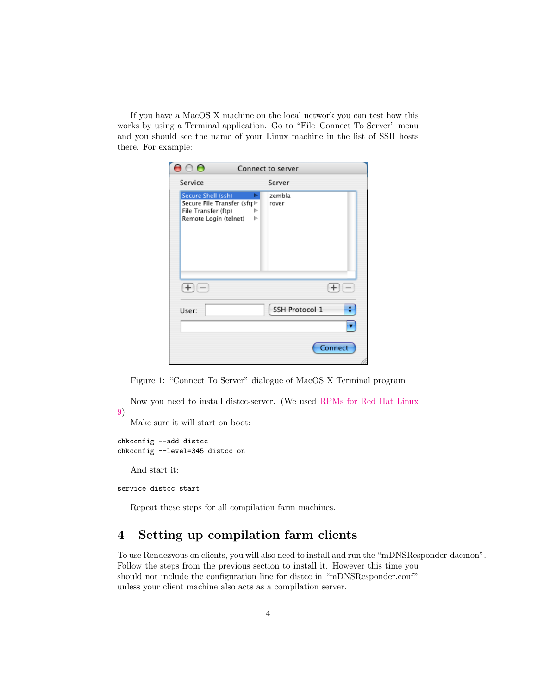If you have a MacOS X machine on the local network you can test how this works by using a Terminal application. Go to "File–Connect To Server" menu and you should see the name of your Linux machine in the list of SSH hosts there. For example:

| $\bullet$                                                                                                                    | Connect to server |
|------------------------------------------------------------------------------------------------------------------------------|-------------------|
| Service                                                                                                                      | Server            |
| Secure Shell (ssh)<br>►<br>Secure File Transfer (sftt <sup>⊳</sup><br>File Transfer (ftp)<br>ь<br>Remote Login (telnet)<br>ь | zembla<br>rover   |
|                                                                                                                              |                   |
| User:                                                                                                                        | SSH Protocol 1    |
|                                                                                                                              |                   |
|                                                                                                                              | Connect           |

Figure 1: "Connect To Server" dialogue of MacOS X Terminal program

Now you need to install distcc-server. (We used [RPMs for Red Hat Linux](ftp://ftp.axian.com/pub/people/terryg/distcc/RH9-RPMS/)

Make sure it will start on boot:

```
chkconfig --add distcc
chkconfig --level=345 distcc on
```
And start it:

[9\)](ftp://ftp.axian.com/pub/people/terryg/distcc/RH9-RPMS/)

service distcc start

Repeat these steps for all compilation farm machines.

## <span id="page-3-0"></span>4 Setting up compilation farm clients

To use Rendezvous on clients, you will also need to install and run the "mDNSResponder daemon". Follow the steps from the previous section to install it. However this time you should not include the configuration line for distcc in "mDNSResponder.conf" unless your client machine also acts as a compilation server.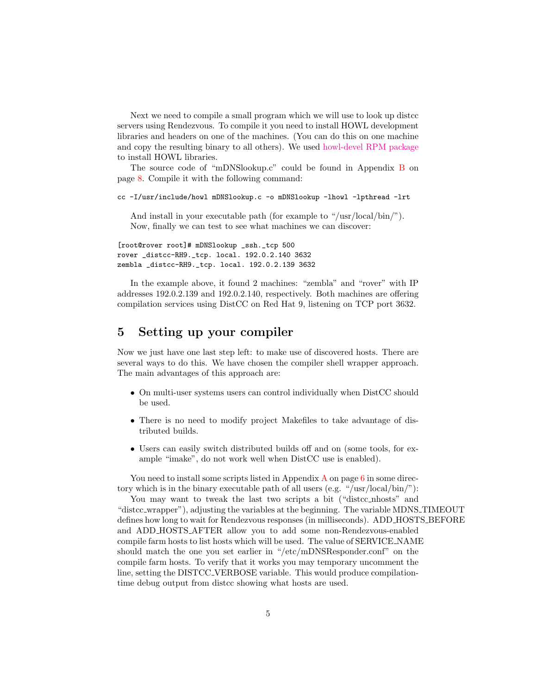Next we need to compile a small program which we will use to look up distcc servers using Rendezvous. To compile it you need to install HOWL development libraries and headers on one of the machines. (You can do this on one machine and copy the resulting binary to all others). We used [howl-devel RPM package](http://www.porchdogsoft.com/download/howl-devel-0.9.5-1.i386.rpm) to install HOWL libraries.

The source code of "mDNSlookup.c" could be found in Appendix [B](#page-7-0) on page [8.](#page-7-0) Compile it with the following command:

cc -I/usr/include/howl mDNSlookup.c -o mDNSlookup -lhowl -lpthread -lrt

And install in your executable path (for example to "/usr/local/bin/"). Now, finally we can test to see what machines we can discover:

[root@rover root]# mDNSlookup \_ssh.\_tcp 500 rover \_distcc-RH9.\_tcp. local. 192.0.2.140 3632 zembla \_distcc-RH9.\_tcp. local. 192.0.2.139 3632

In the example above, it found 2 machines: "zembla" and "rover" with IP addresses 192.0.2.139 and 192.0.2.140, respectively. Both machines are offering compilation services using DistCC on Red Hat 9, listening on TCP port 3632.

## <span id="page-4-0"></span>5 Setting up your compiler

Now we just have one last step left: to make use of discovered hosts. There are several ways to do this. We have chosen the compiler shell wrapper approach. The main advantages of this approach are:

- On multi-user systems users can control individually when DistCC should be used.
- There is no need to modify project Makefiles to take advantage of distributed builds.
- Users can easily switch distributed builds off and on (some tools, for example "imake", do not work well when DistCC use is enabled).

You need to install some scripts listed in [A](#page-5-1)ppendix  $\bf{A}$  on page [6](#page-5-1) in some directory which is in the binary executable path of all users (e.g. "/usr/local/bin/"):

You may want to tweak the last two scripts a bit ("distcc\_nhosts" and "distcc wrapper"), adjusting the variables at the beginning. The variable MDNS TIMEOUT defines how long to wait for Rendezvous responses (in milliseconds). ADD HOSTS BEFORE and ADD HOSTS AFTER allow you to add some non-Rendezvous-enabled compile farm hosts to list hosts which will be used. The value of SERVICE NAME should match the one you set earlier in "/etc/mDNSResponder.conf" on the compile farm hosts. To verify that it works you may temporary uncomment the line, setting the DISTCC VERBOSE variable. This would produce compilationtime debug output from distcc showing what hosts are used.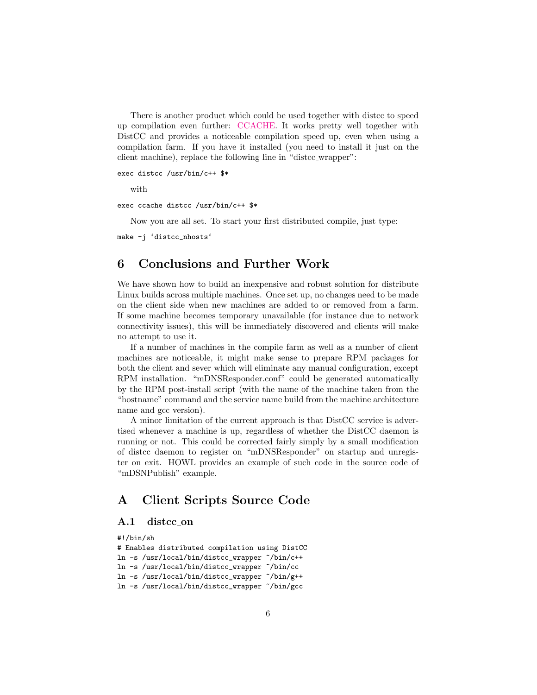There is another product which could be used together with distcc to speed up compilation even further: [CCACHE.](http://ccache.samba.org/) It works pretty well together with DistCC and provides a noticeable compilation speed up, even when using a compilation farm. If you have it installed (you need to install it just on the client machine), replace the following line in "distcc wrapper":

exec distcc /usr/bin/c++ \$\*

with

exec ccache distcc /usr/bin/c++ \$\*

Now you are all set. To start your first distributed compile, just type:

make -j 'distcc\_nhosts'

### <span id="page-5-0"></span>6 Conclusions and Further Work

We have shown how to build an inexpensive and robust solution for distribute Linux builds across multiple machines. Once set up, no changes need to be made on the client side when new machines are added to or removed from a farm. If some machine becomes temporary unavailable (for instance due to network connectivity issues), this will be immediately discovered and clients will make no attempt to use it.

If a number of machines in the compile farm as well as a number of client machines are noticeable, it might make sense to prepare RPM packages for both the client and sever which will eliminate any manual configuration, except RPM installation. "mDNSResponder.conf" could be generated automatically by the RPM post-install script (with the name of the machine taken from the "hostname" command and the service name build from the machine architecture name and gcc version).

A minor limitation of the current approach is that DistCC service is advertised whenever a machine is up, regardless of whether the DistCC daemon is running or not. This could be corrected fairly simply by a small modification of distcc daemon to register on "mDNSResponder" on startup and unregister on exit. HOWL provides an example of such code in the source code of "mDSNPublish" example.

### <span id="page-5-1"></span>A Client Scripts Source Code

#### <span id="page-5-2"></span>A.1 distcc on

```
#!/bin/sh
# Enables distributed compilation using DistCC
ln -s /usr/local/bin/distcc_wrapper ~/bin/c++
ln -s /usr/local/bin/distcc_wrapper ~/bin/cc
ln -s /usr/local/bin/distcc_wrapper ~/bin/g++
```
ln -s /usr/local/bin/distcc\_wrapper ~/bin/gcc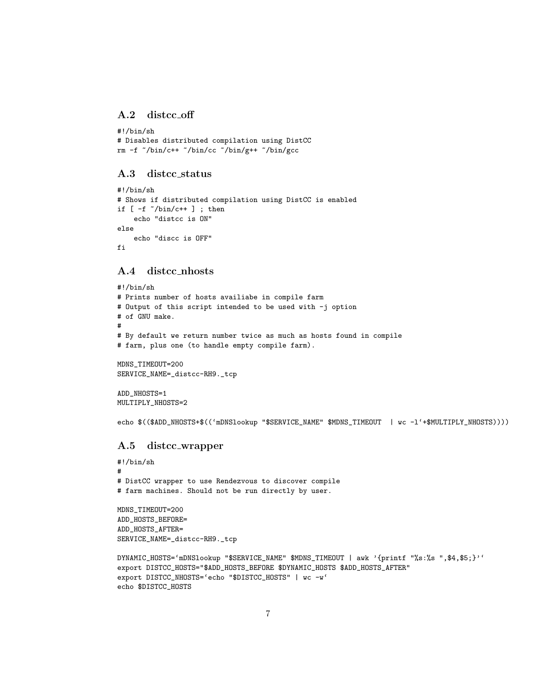#### <span id="page-6-0"></span>A.2 distcc off

```
#!/bin/sh
# Disables distributed compilation using DistCC
rm -f ~/bin/c++ ~/bin/cc ~/bin/g++ ~/bin/gcc
```
#### <span id="page-6-1"></span>A.3 distcc status

```
#!/bin/sh
# Shows if distributed compilation using DistCC is enabled
if [-f \sim/bin/c++ ]; then
    echo "distcc is ON"
else
    echo "discc is OFF"
fi
```
#### <span id="page-6-2"></span>A.4 distcc nhosts

```
#!/bin/sh
# Prints number of hosts availiabe in compile farm
# Output of this script intended to be used with -j option
# of GNU make.
#
# By default we return number twice as much as hosts found in compile
# farm, plus one (to handle empty compile farm).
```
MDNS\_TIMEOUT=200 SERVICE\_NAME=\_distcc-RH9.\_tcp

ADD\_NHOSTS=1 MULTIPLY\_NHOSTS=2

echo \$((\$ADD\_NHOSTS+\$(('mDNSlookup "\$SERVICE\_NAME" \$MDNS\_TIMEOUT | wc -l'+\$MULTIPLY\_NHOSTS))))

#### <span id="page-6-3"></span>A.5 distcc wrapper

```
#!/bin/sh
#
# DistCC wrapper to use Rendezvous to discover compile
# farm machines. Should not be run directly by user.
MDNS_TIMEOUT=200
```
ADD\_HOSTS\_BEFORE= ADD\_HOSTS\_AFTER= SERVICE\_NAME=\_distcc-RH9.\_tcp

```
DYNAMIC_HOSTS='mDNSlookup "$SERVICE_NAME" $MDNS_TIMEOUT | awk '{printf "%s:%s ",$4,$5;}''
export DISTCC_HOSTS="$ADD_HOSTS_BEFORE $DYNAMIC_HOSTS $ADD_HOSTS_AFTER"
export DISTCC_NHOSTS='echo "$DISTCC_HOSTS" | wc -w'
echo $DISTCC_HOSTS
```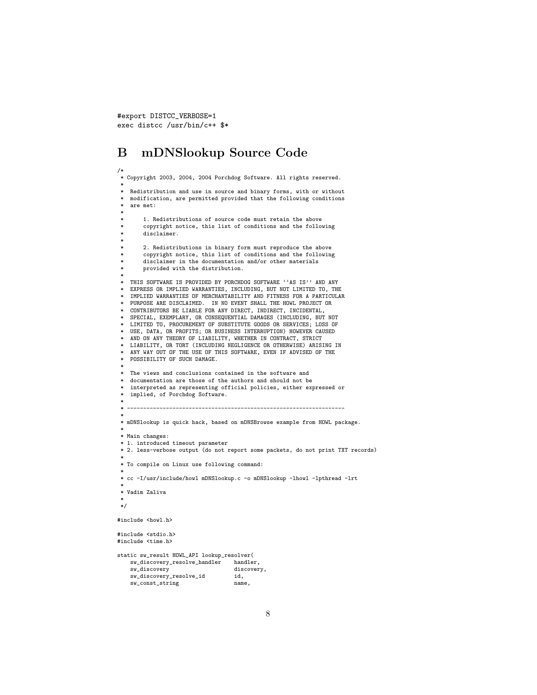#export DISTCC\_VERBOSE=1 exec distcc /usr/bin/c++ \$\*

sw\_const\_string

## <span id="page-7-0"></span>B mDNSlookup Source Code

```
/*
* Copyright 2003, 2004, 2004 Porchdog Software. All rights reserved.
 *
* Redistribution and use in source and binary forms, with or without
   modification, are permitted provided that the following conditions
   are met:
 *
        1. Redistributions of source code must retain the above
        copyright notice, this list of conditions and the following
       disclaimer.
 *
       2. Redistributions in binary form must reproduce the above
        copyright notice, this list of conditions and the following
        disclaimer in the documentation and/or other materials
       provided with the distribution.
 *
 * THIS SOFTWARE IS PROVIDED BY PORCHDOG SOFTWARE ''AS IS'' AND ANY
   EXPRESS OR IMPLIED WARRANTIES, INCLUDING, BUT NOT LIMITED TO, THE
   IMPLIED WARRANTIES OF MERCHANTABILITY AND FITNESS FOR A PARTICULAR
   PURPOSE ARE DISCLAIMED. IN NO EVENT SHALL THE HOWL PROJECT OR
   CONTRIBUTORS BE LIABLE FOR ANY DIRECT, INDIRECT, INCIDENTAL,
   SPECIAL, EXEMPLARY, OR CONSEQUENTIAL DAMAGES (INCLUDING, BUT NOT
   LIMITED TO, PROCUREMENT OF SUBSTITUTE GOODS OR SERVICES; LOSS OF
   USE, DATA, OR PROFITS; OR BUSINESS INTERRUPTION) HOWEVER CAUSED
   AND ON ANY THEORY OF LIABILITY, WHETHER IN CONTRACT, STRICT
   LIABILITY, OR TORT (INCLUDING NEGLIGENCE OR OTHERWISE) ARISING IN
   ANY WAY OUT OF THE USE OF THIS SOFTWARE, EVEN IF ADVISED OF THE
 * POSSIBILITY OF SUCH DAMAGE.
 *
* The views and conclusions contained in the software and
   documentation are those of the authors and should not be
   interpreted as representing official policies, either expressed or
   implied, of Porchdog Software.
 *
 * -------------------------------------------------------------------
 *
* mDNSlookup is quick hack, based on mDNSBrowse example from HOWL package.
 *
* Main changes:
* 1. introduced timeout parameter
* 2. less-verbose output (do not report some packets, do not print TXT records)
 *
* To compile on Linux use following command:
 *
* cc -I/usr/include/howl mDNSlookup.c -o mDNSlookup -lhowl -lpthread -lrt
 *
 * Vadim Zaliva
 *
*/
#include <howl.h>
#include <stdio.h>
#include <time.h>
static sw_result HOWL_API lookup_resolver(
   sw_discovery_resolve_handler handler,
    sw_discovery<br>sw_discovery_resolve_id id,
   sw_discovery_resolve_id id,<br>sw_const_string name,
```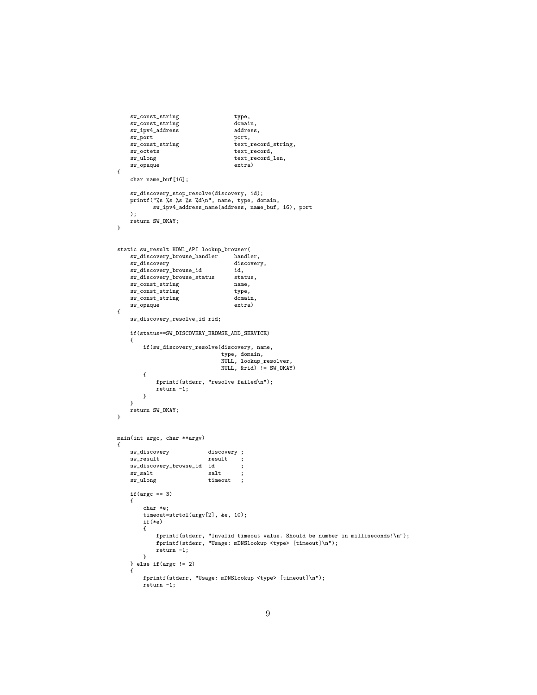```
sw_const_string type,<br>sw_const_string domain,
    sw_const_string domain,<br>sw_ipv4_address address,
    sw_ipv4_address addres<br>sw_port port,
    sw_port<br>sw_const_string
    sw_const_string text_record_string,<br>sw_octets text_record,
    sw_octets text_record,<br>sw_ulong text_record_
                                          text\_record{\_}len,sw_opaque extra)
{
    char name_buf[16];
     sw_discovery_stop_resolve(discovery, id);
printf("%s %s %s %s %d\n", name, type, domain,
             sw_ipv4_address_name(address, name_buf, 16), port
    );
    return SW_OKAY;
}
static sw_result HOWL_API lookup_browser(
    sw_discovery_browse_handler handler,
    sw_discovery discovery,<br>sw_discovery_browse_id did.
    \texttt{sw\_discovery\_browse\_id}sw_discovery_browse_status status,<br>sw_const_string name,
    sw_const_string name,<br>sw_const_string type,
    sw_const_string type,<br>sw_const_string domain.
    sw_const_string domain<br>sw_opaque extra)
    sw\_opaque{
    sw_discovery_resolve_id rid;
     if(status==SW_DISCOVERY_BROWSE_ADD_SERVICE)
     {
         if(sw_discovery_resolve(discovery, name,
                                     type, domain,
                                      NULL, lookup_resolver,
NULL, &rid) != SW_OKAY)
         {
              fprintf(stderr, "resolve failed\n");
              return -1;
         }
    }
    return SW_OKAY;
}
main(int argc, char **argv)
{
    sw_discovery discovery ;<br>sw_result result ;
                                result;
    sw_discovery_browse_id id ;<br>sw_salt salt ;
    sw_salt i salt ;<br>sw_ulong timeout ;
                                timeout ;
    if(\arg c == 3){
         char *e;
         timeout=strtol(argv[2], &e, 10);
         if(*e)
         {
              fprintf(stderr, "Invalid timeout value. Should be number in milliseconds!\n");
fprintf(stderr, "Usage: mDNSlookup <type> [timeout]\n");
              return -1;
         }
     } else if(argc != 2)
{
         fprintf(stderr, "Usage: mDNSlookup <type> [timeout]\n");
         return -1;
```